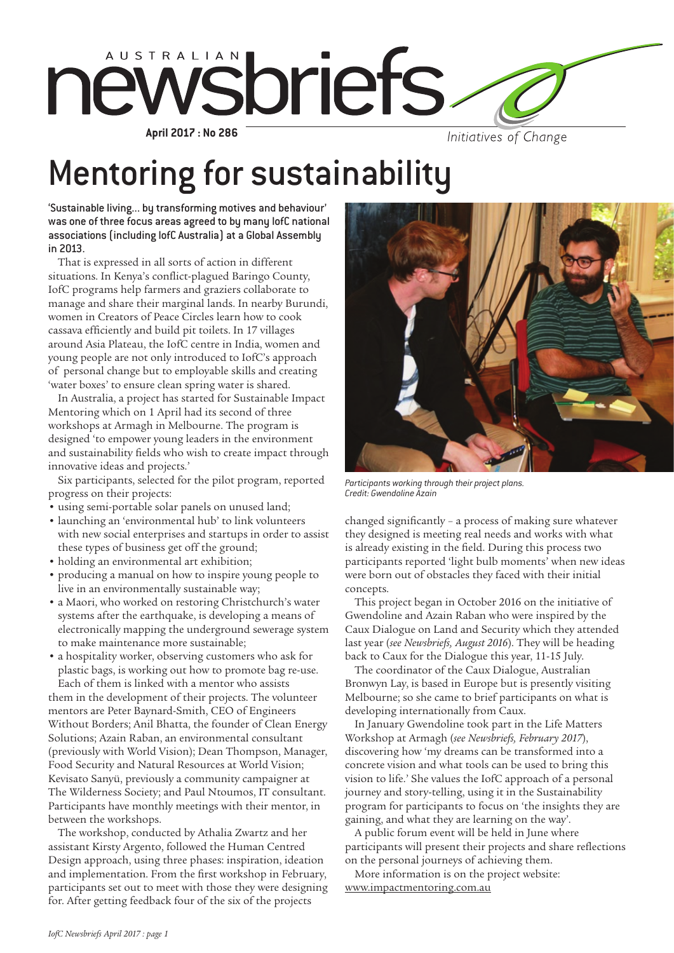

**April 2017 : No 286**

Initiatives of Change

# Mentoring for sustainability

'Sustainable living... by transforming motives and behaviour' was one of three focus areas agreed to by many IofC national associations (including IofC Australia) at a Global Assembly in 2013.

That is expressed in all sorts of action in different situations. In Kenya's conflict-plagued Baringo County, IofC programs help farmers and graziers collaborate to manage and share their marginal lands. In nearby Burundi, women in Creators of Peace Circles learn how to cook cassava efficiently and build pit toilets. In 17 villages around Asia Plateau, the IofC centre in India, women and young people are not only introduced to IofC's approach of personal change but to employable skills and creating 'water boxes' to ensure clean spring water is shared.

In Australia, a project has started for Sustainable Impact Mentoring which on 1 April had its second of three workshops at Armagh in Melbourne. The program is designed 'to empower young leaders in the environment and sustainability fields who wish to create impact through innovative ideas and projects.'

Six participants, selected for the pilot program, reported progress on their projects:

- using semi-portable solar panels on unused land;
- launching an 'environmental hub' to link volunteers with new social enterprises and startups in order to assist these types of business get off the ground;
- holding an environmental art exhibition;
- producing a manual on how to inspire young people to live in an environmentally sustainable way;
- a Maori, who worked on restoring Christchurch's water systems after the earthquake, is developing a means of electronically mapping the underground sewerage system to make maintenance more sustainable;
- a hospitality worker, observing customers who ask for plastic bags, is working out how to promote bag re-use. Each of them is linked with a mentor who assists

them in the development of their projects. The volunteer mentors are Peter Baynard-Smith, CEO of Engineers Without Borders; Anil Bhatta, the founder of Clean Energy Solutions; Azain Raban, an environmental consultant (previously with World Vision); Dean Thompson, Manager, Food Security and Natural Resources at World Vision; Kevisato Sanyü, previously a community campaigner at The Wilderness Society; and Paul Ntoumos, IT consultant. Participants have monthly meetings with their mentor, in between the workshops.

The workshop, conducted by Athalia Zwartz and her assistant Kirsty Argento, followed the Human Centred Design approach, using three phases: inspiration, ideation and implementation. From the first workshop in February, participants set out to meet with those they were designing for. After getting feedback four of the six of the projects



*Participants working through their project plans. Credit: Gwendoline Azain*

changed significantly – a process of making sure whatever they designed is meeting real needs and works with what is already existing in the field. During this process two participants reported 'light bulb moments' when new ideas were born out of obstacles they faced with their initial concepts.

This project began in October 2016 on the initiative of Gwendoline and Azain Raban who were inspired by the Caux Dialogue on Land and Security which they attended last year (*see Newsbriefs, August 2016*). They will be heading back to Caux for the Dialogue this year, 11-15 July.

The coordinator of the Caux Dialogue, Australian Bronwyn Lay, is based in Europe but is presently visiting Melbourne; so she came to brief participants on what is developing internationally from Caux.

In January Gwendoline took part in the Life Matters Workshop at Armagh (*see Newsbriefs, February 2017*), discovering how 'my dreams can be transformed into a concrete vision and what tools can be used to bring this vision to life.' She values the IofC approach of a personal journey and story-telling, using it in the Sustainability program for participants to focus on 'the insights they are gaining, and what they are learning on the way'.

A public forum event will be held in June where participants will present their projects and share reflections on the personal journeys of achieving them.

More information is on the project website: www.impactmentoring.com.au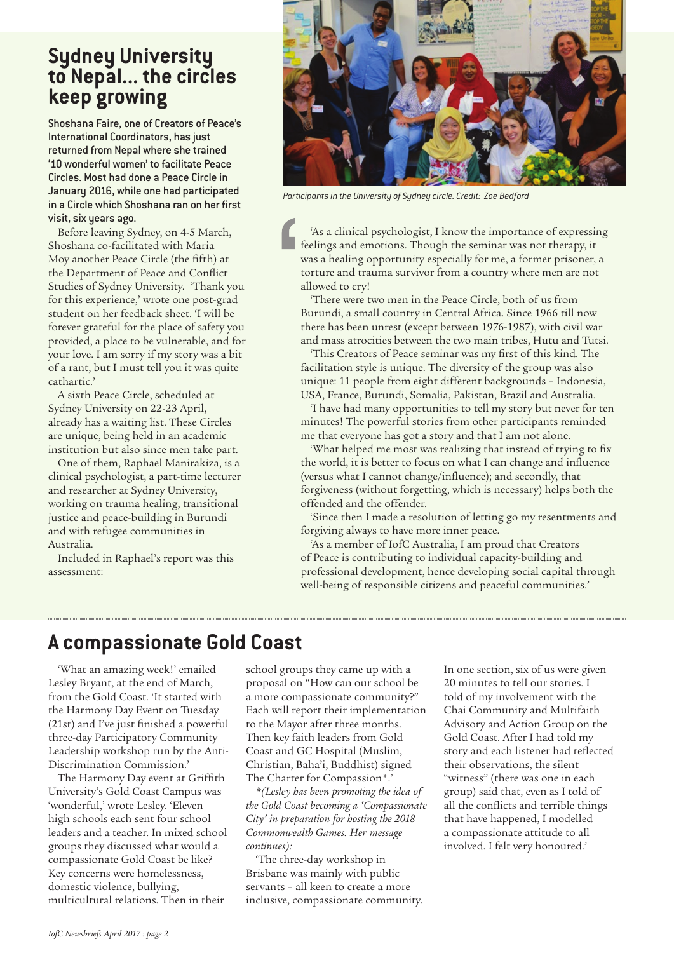### **Sydney University to Nepal... the circles keep growing**

Shoshana Faire, one of Creators of Peace's International Coordinators, has just returned from Nepal where she trained '10 wonderful women' to facilitate Peace Circles. Most had done a Peace Circle in January 2016, while one had participated in a Circle which Shoshana ran on her first visit, six years ago.

Before leaving Sydney, on 4-5 March, Shoshana co-facilitated with Maria Moy another Peace Circle (the fifth) at the Department of Peace and Conflict Studies of Sydney University. 'Thank you for this experience,' wrote one post-grad student on her feedback sheet. 'I will be forever grateful for the place of safety you provided, a place to be vulnerable, and for your love. I am sorry if my story was a bit of a rant, but I must tell you it was quite cathartic.'

A sixth Peace Circle, scheduled at Sydney University on 22-23 April, already has a waiting list. These Circles are unique, being held in an academic institution but also since men take part.

One of them, Raphael Manirakiza, is a clinical psychologist, a part-time lecturer and researcher at Sydney University, working on trauma healing, transitional justice and peace-building in Burundi and with refugee communities in Australia.

Included in Raphael's report was this assessment:



*Participants in the University of Sydney circle. Credit: Zoe Bedford*

'As a clinical psychologist, I know the importance of expressing feelings and emotions. Though the seminar was not therapy, it was a healing opportunity especially for me, a former prisoner, a torture and trauma survivor from a country where men are not allowed to cry!

'There were two men in the Peace Circle, both of us from Burundi, a small country in Central Africa. Since 1966 till now there has been unrest (except between 1976-1987), with civil war and mass atrocities between the two main tribes, Hutu and Tutsi.

'This Creators of Peace seminar was my first of this kind. The facilitation style is unique. The diversity of the group was also unique: 11 people from eight different backgrounds – Indonesia, USA, France, Burundi, Somalia, Pakistan, Brazil and Australia.

'I have had many opportunities to tell my story but never for ten minutes! The powerful stories from other participants reminded me that everyone has got a story and that I am not alone.

'What helped me most was realizing that instead of trying to fix the world, it is better to focus on what I can change and influence (versus what I cannot change/influence); and secondly, that forgiveness (without forgetting, which is necessary) helps both the offended and the offender.

'Since then I made a resolution of letting go my resentments and forgiving always to have more inner peace.

'As a member of IofC Australia, I am proud that Creators of Peace is contributing to individual capacity-building and professional development, hence developing social capital through well-being of responsible citizens and peaceful communities.'

### **A compassionate Gold Coast**

'What an amazing week!' emailed Lesley Bryant, at the end of March, from the Gold Coast. 'It started with the Harmony Day Event on Tuesday (21st) and I've just finished a powerful three-day Participatory Community Leadership workshop run by the Anti-Discrimination Commission.'

The Harmony Day event at Griffith University's Gold Coast Campus was 'wonderful,' wrote Lesley. 'Eleven high schools each sent four school leaders and a teacher. In mixed school groups they discussed what would a compassionate Gold Coast be like? Key concerns were homelessness, domestic violence, bullying, multicultural relations. Then in their

school groups they came up with a proposal on "How can our school be a more compassionate community?" Each will report their implementation to the Mayor after three months. Then key faith leaders from Gold Coast and GC Hospital (Muslim, Christian, Baha'i, Buddhist) signed The Charter for Compassion\*.'

*\*(Lesley has been promoting the idea of the Gold Coast becoming a 'Compassionate City' in preparation for hosting the 2018 Commonwealth Games. Her message continues):* 

'The three-day workshop in Brisbane was mainly with public servants – all keen to create a more inclusive, compassionate community. In one section, six of us were given 20 minutes to tell our stories. I told of my involvement with the Chai Community and Multifaith Advisory and Action Group on the Gold Coast. After I had told my story and each listener had reflected their observations, the silent "witness" (there was one in each group) said that, even as I told of all the conflicts and terrible things that have happened, I modelled a compassionate attitude to all involved. I felt very honoured.'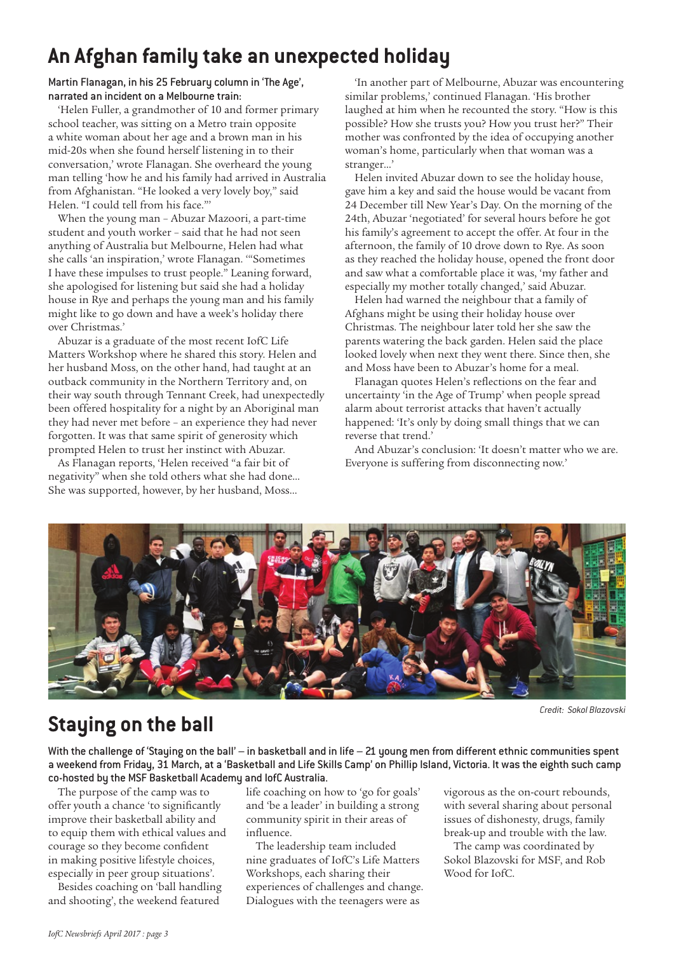### **An Afghan family take an unexpected holiday**

#### Martin Flanagan, in his 25 February column in 'The Age', narrated an incident on a Melbourne train:

'Helen Fuller, a grandmother of 10 and former primary school teacher, was sitting on a Metro train opposite a white woman about her age and a brown man in his mid-20s when she found herself listening in to their conversation,' wrote Flanagan. She overheard the young man telling 'how he and his family had arrived in Australia from Afghanistan. "He looked a very lovely boy," said Helen. "I could tell from his face."'

When the young man – Abuzar Mazoori, a part-time student and youth worker – said that he had not seen anything of Australia but Melbourne, Helen had what she calls 'an inspiration,' wrote Flanagan. '"Sometimes I have these impulses to trust people." Leaning forward, she apologised for listening but said she had a holiday house in Rye and perhaps the young man and his family might like to go down and have a week's holiday there over Christmas.'

Abuzar is a graduate of the most recent IofC Life Matters Workshop where he shared this story. Helen and her husband Moss, on the other hand, had taught at an outback community in the Northern Territory and, on their way south through Tennant Creek, had unexpectedly been offered hospitality for a night by an Aboriginal man they had never met before – an experience they had never forgotten. It was that same spirit of generosity which prompted Helen to trust her instinct with Abuzar.

As Flanagan reports, 'Helen received "a fair bit of negativity" when she told others what she had done… She was supported, however, by her husband, Moss...

'In another part of Melbourne, Abuzar was encountering similar problems,' continued Flanagan. 'His brother laughed at him when he recounted the story. "How is this possible? How she trusts you? How you trust her?" Their mother was confronted by the idea of occupying another woman's home, particularly when that woman was a stranger…'

Helen invited Abuzar down to see the holiday house, gave him a key and said the house would be vacant from 24 December till New Year's Day. On the morning of the 24th, Abuzar 'negotiated' for several hours before he got his family's agreement to accept the offer. At four in the afternoon, the family of 10 drove down to Rye. As soon as they reached the holiday house, opened the front door and saw what a comfortable place it was, 'my father and especially my mother totally changed,' said Abuzar.

Helen had warned the neighbour that a family of Afghans might be using their holiday house over Christmas. The neighbour later told her she saw the parents watering the back garden. Helen said the place looked lovely when next they went there. Since then, she and Moss have been to Abuzar's home for a meal.

Flanagan quotes Helen's reflections on the fear and uncertainty 'in the Age of Trump' when people spread alarm about terrorist attacks that haven't actually happened: 'It's only by doing small things that we can reverse that trend.'

And Abuzar's conclusion: 'It doesn't matter who we are. Everyone is suffering from disconnecting now.'



*Credit: Sokol Blazovski*

## **Staying on the ball**

With the challenge of 'Staying on the ball' – in basketball and in life – 21 young men from different ethnic communities spent a weekend from Friday, 31 March, at a 'Basketball and Life Skills Camp' on Phillip Island, Victoria. It was the eighth such camp co-hosted by the MSF Basketball Academy and IofC Australia.

The purpose of the camp was to offer youth a chance 'to significantly improve their basketball ability and to equip them with ethical values and courage so they become confident in making positive lifestyle choices, especially in peer group situations'.

Besides coaching on 'ball handling and shooting', the weekend featured

life coaching on how to 'go for goals' and 'be a leader' in building a strong community spirit in their areas of influence.

The leadership team included nine graduates of IofC's Life Matters Workshops, each sharing their experiences of challenges and change. Dialogues with the teenagers were as

vigorous as the on-court rebounds, with several sharing about personal issues of dishonesty, drugs, family break-up and trouble with the law.

The camp was coordinated by Sokol Blazovski for MSF, and Rob Wood for IofC.